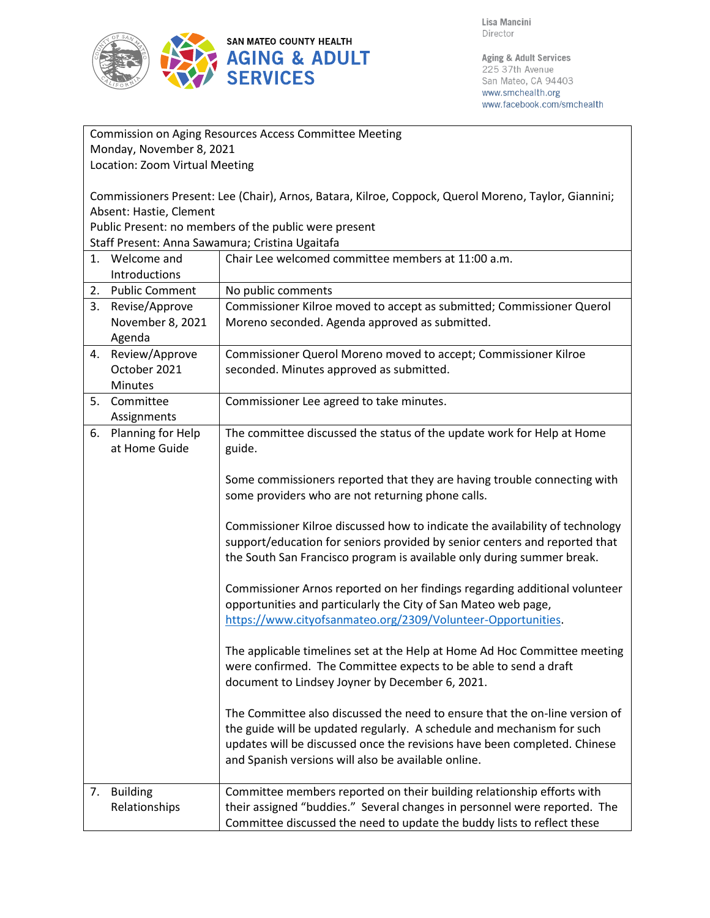

Lisa Mancini Director

Aging & Adult Services 225 37th Avenue San Mateo, CA 94403 www.smchealth.org www.facebook.com/smchealth

| Commission on Aging Resources Access Committee Meeting                                                   |                                                                                                                                                                                                                                                                                           |  |
|----------------------------------------------------------------------------------------------------------|-------------------------------------------------------------------------------------------------------------------------------------------------------------------------------------------------------------------------------------------------------------------------------------------|--|
| Monday, November 8, 2021                                                                                 |                                                                                                                                                                                                                                                                                           |  |
| Location: Zoom Virtual Meeting                                                                           |                                                                                                                                                                                                                                                                                           |  |
| Commissioners Present: Lee (Chair), Arnos, Batara, Kilroe, Coppock, Querol Moreno, Taylor, Giannini;     |                                                                                                                                                                                                                                                                                           |  |
| Absent: Hastie, Clement                                                                                  |                                                                                                                                                                                                                                                                                           |  |
| Public Present: no members of the public were present<br>Staff Present: Anna Sawamura; Cristina Ugaitafa |                                                                                                                                                                                                                                                                                           |  |
| 1. Welcome and                                                                                           | Chair Lee welcomed committee members at 11:00 a.m.                                                                                                                                                                                                                                        |  |
| Introductions                                                                                            |                                                                                                                                                                                                                                                                                           |  |
| 2. Public Comment                                                                                        | No public comments                                                                                                                                                                                                                                                                        |  |
| 3. Revise/Approve                                                                                        | Commissioner Kilroe moved to accept as submitted; Commissioner Querol                                                                                                                                                                                                                     |  |
| November 8, 2021                                                                                         | Moreno seconded. Agenda approved as submitted.                                                                                                                                                                                                                                            |  |
| Agenda                                                                                                   |                                                                                                                                                                                                                                                                                           |  |
| 4. Review/Approve<br>October 2021                                                                        | Commissioner Querol Moreno moved to accept; Commissioner Kilroe<br>seconded. Minutes approved as submitted.                                                                                                                                                                               |  |
| Minutes                                                                                                  |                                                                                                                                                                                                                                                                                           |  |
| 5. Committee                                                                                             | Commissioner Lee agreed to take minutes.                                                                                                                                                                                                                                                  |  |
| Assignments                                                                                              |                                                                                                                                                                                                                                                                                           |  |
| 6. Planning for Help<br>at Home Guide                                                                    | The committee discussed the status of the update work for Help at Home<br>guide.                                                                                                                                                                                                          |  |
|                                                                                                          | Some commissioners reported that they are having trouble connecting with                                                                                                                                                                                                                  |  |
|                                                                                                          | some providers who are not returning phone calls.                                                                                                                                                                                                                                         |  |
|                                                                                                          | Commissioner Kilroe discussed how to indicate the availability of technology<br>support/education for seniors provided by senior centers and reported that<br>the South San Francisco program is available only during summer break.                                                      |  |
|                                                                                                          | Commissioner Arnos reported on her findings regarding additional volunteer<br>opportunities and particularly the City of San Mateo web page,<br>https://www.cityofsanmateo.org/2309/Volunteer-Opportunities.                                                                              |  |
|                                                                                                          | The applicable timelines set at the Help at Home Ad Hoc Committee meeting<br>were confirmed. The Committee expects to be able to send a draft<br>document to Lindsey Joyner by December 6, 2021.                                                                                          |  |
|                                                                                                          | The Committee also discussed the need to ensure that the on-line version of<br>the guide will be updated regularly. A schedule and mechanism for such<br>updates will be discussed once the revisions have been completed. Chinese<br>and Spanish versions will also be available online. |  |
| <b>Building</b><br>7.<br>Relationships                                                                   | Committee members reported on their building relationship efforts with<br>their assigned "buddies." Several changes in personnel were reported. The<br>Committee discussed the need to update the buddy lists to reflect these                                                            |  |